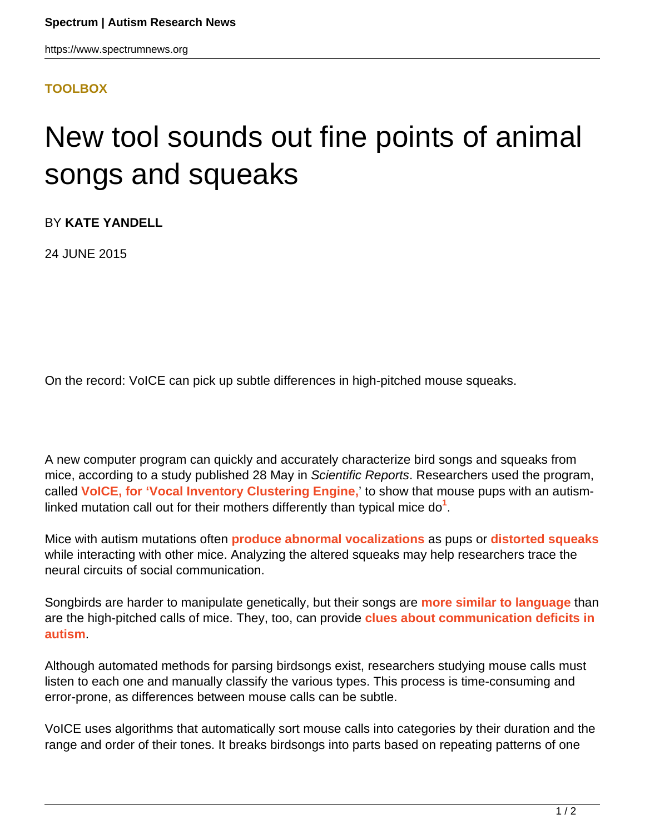## **[TOOLBOX](HTTPS://WWW.SPECTRUMNEWS.ORG/NEWS/TOOLBOX/)**

## New tool sounds out fine points of animal songs and squeaks

BY **KATE YANDELL**

24 JUNE 2015

On the record: VoICE can pick up subtle differences in high-pitched mouse squeaks.

A new computer program can quickly and accurately characterize bird songs and squeaks from mice, according to a study published 28 May in Scientific Reports. Researchers used the program, called **[VoICE, for 'Vocal Inventory Clustering Engine,](https://www.ibp.ucla.edu/research/white/CODE.html)**' to show that mouse pups with an autismlinked mutation call out for their mothers differently than typical mice do<sup>1</sup>.

Mice with autism mutations often **[produce abnormal vocalizations](https://www.spectrumnews.org/news/2008/mouse-model-of-autism-emits-distinctive-cries)** as pups or **[distorted squeaks](https://www.spectrumnews.org/news/2015/stunted-squeaks-signal-social-deficits-in-autism-model)** while interacting with other mice. Analyzing the altered squeaks may help researchers trace the neural circuits of social communication.

Songbirds are harder to manipulate genetically, but their songs are **[more similar to language](https://www.spectrumnews.org/conference-news/2014/society-for-neuroscience-2014/songs-squeaks-combine-to-tell-story-about-human-language)** than are the high-pitched calls of mice. They, too, can provide **[clues about communication deficits in](https://www.spectrumnews.org/conference-news/2011/society-for-neuroscience-2011/autism-linked-protein-plays-role-in-zebra-finch-song) [autism](https://www.spectrumnews.org/conference-news/2011/society-for-neuroscience-2011/autism-linked-protein-plays-role-in-zebra-finch-song)**.

Although automated methods for parsing birdsongs exist, researchers studying mouse calls must listen to each one and manually classify the various types. This process is time-consuming and error-prone, as differences between mouse calls can be subtle.

VoICE uses algorithms that automatically sort mouse calls into categories by their duration and the range and order of their tones. It breaks birdsongs into parts based on repeating patterns of one